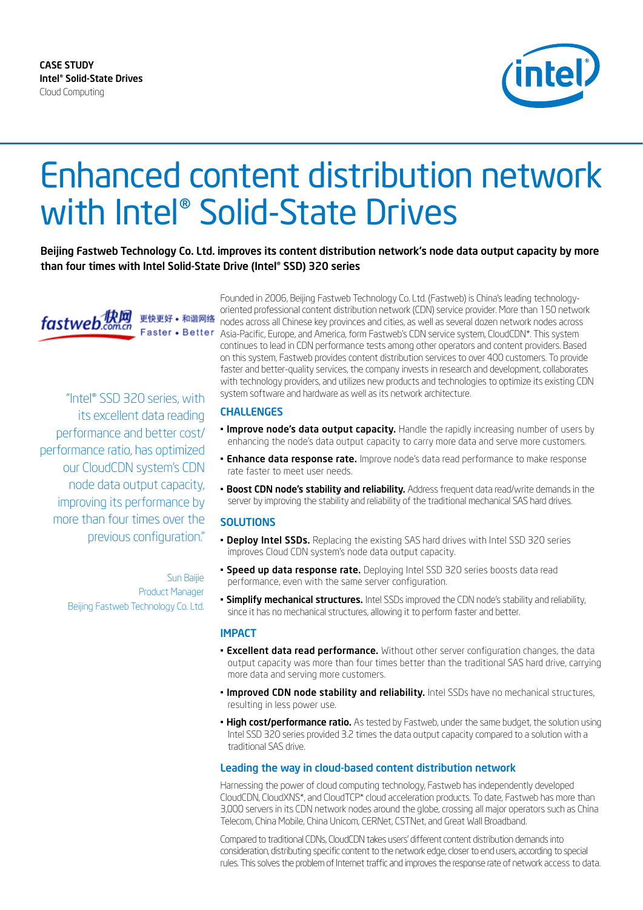CASE STUDY Intel® Solid-State Drives Cloud Computing



# Enhanced content distribution network with Intel® Solid-State Drives

Beijing Fastweb Technology Co. Ltd. improves its content distribution network's node data output capacity by more than four times with Intel Solid-State Drive (Intel® SSD) 320 series



"Intel® SSD 320 series, with its excellent data reading performance and better cost/ performance ratio, has optimized our CloudCDN system's CDN node data output capacity, improving its performance by more than four times over the previous configuration."

> Sun Baijie Product Manager Beijing Fastweb Technology Co. Ltd.

Founded in 2006, Beijing Fastweb Technology Co. Ltd. (Fastweb) is China's leading technologyoriented professional content distribution network (CDN) service provider. More than 150 network 更快更好 • 和谐网络 nodes across all Chinese key provinces and cities, as well as several dozen network nodes across Faster • Better Asia-Pacific, Europe, and America, form Fastweb's CDN service system, CloudCDN\*. This system continues to lead in CDN performance tests among other operators and content providers. Based on this system, Fastweb provides content distribution services to over 400 customers. To provide faster and better-quality services, the company invests in research and development, collaborates with technology providers, and utilizes new products and technologies to optimize its existing CDN system software and hardware as well as its network architecture.

#### CHALLENGES

- **Improve node's data output capacity.** Handle the rapidly increasing number of users by enhancing the node's data output capacity to carry more data and serve more customers.
- **Enhance data response rate.** Improve node's data read performance to make response rate faster to meet user needs.
- **· Boost CDN node's stability and reliability.** Address frequent data read/write demands in the server by improving the stability and reliability of the traditional mechanical SAS hard drives.

#### **SOLUTIONS**

- **Deploy Intel SSDs.** Replacing the existing SAS hard drives with Intel SSD 320 series improves Cloud CDN system's node data output capacity.
- Speed up data response rate. Deploying Intel SSD 320 series boosts data read performance, even with the same server configuration.
- **Simplify mechanical structures.** Intel SSDs improved the CDN node's stability and reliability, since it has no mechanical structures, allowing it to perform faster and better.

#### IMPACT

- **Excellent data read performance.** Without other server configuration changes, the data output capacity was more than four times better than the traditional SAS hard drive, carrying more data and serving more customers.
- **Improved CDN node stability and reliability.** Intel SSDs have no mechanical structures, resulting in less power use.
- **High cost/performance ratio.** As tested by Fastweb, under the same budget, the solution using Intel SSD 320 series provided 3.2 times the data output capacity compared to a solution with a traditional SAS drive.

#### Leading the way in cloud-based content distribution network

Harnessing the power of cloud computing technology, Fastweb has independently developed CloudCDN, CloudXNS\*, and CloudTCP\* cloud acceleration products. To date, Fastweb has more than 3,000 servers in its CDN network nodes around the globe, crossing all major operators such as China Telecom, China Mobile, China Unicom, CERNet, CSTNet, and Great Wall Broadband.

Compared to traditional CDNs, CloudCDN takes users' different content distribution demands into consideration, distributing specific content to the network edge, closer to end users, according to special rules. This solves the problem of Internet traffic and improves the response rate of network access to data.